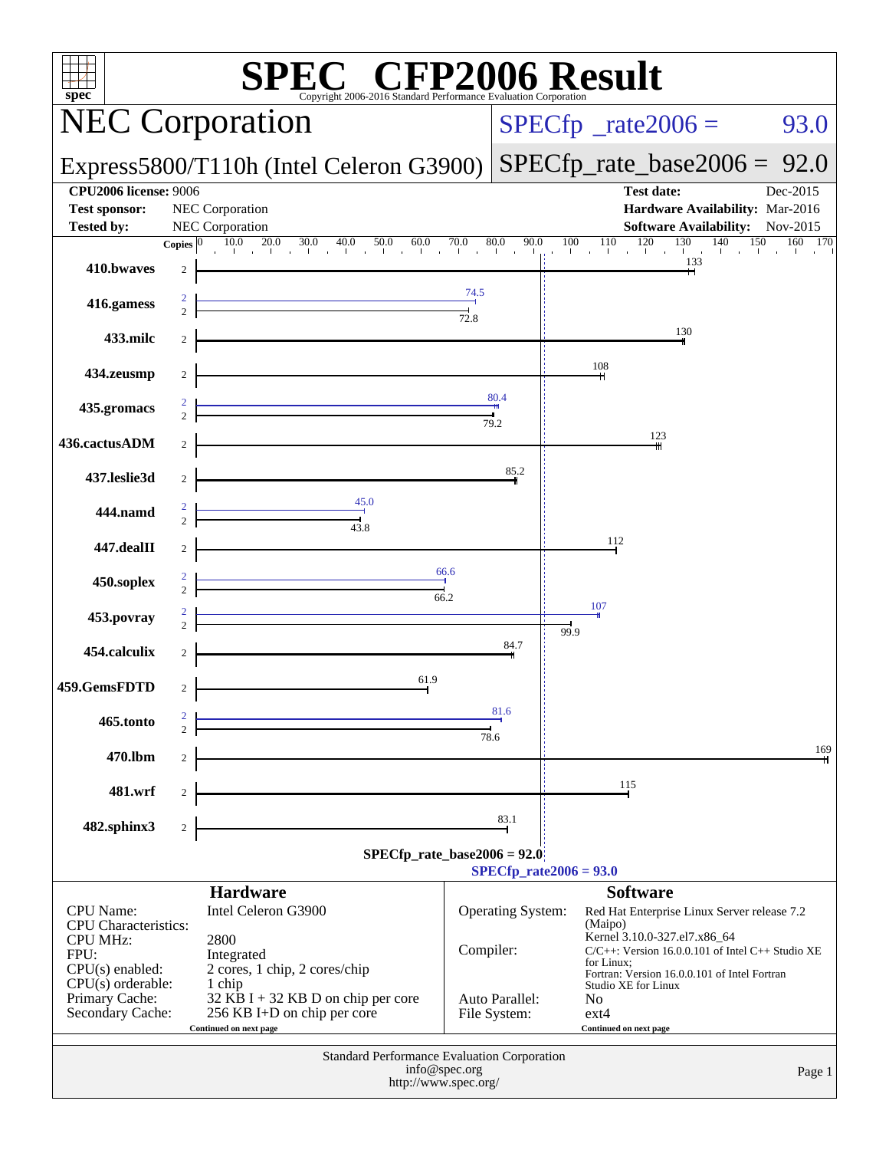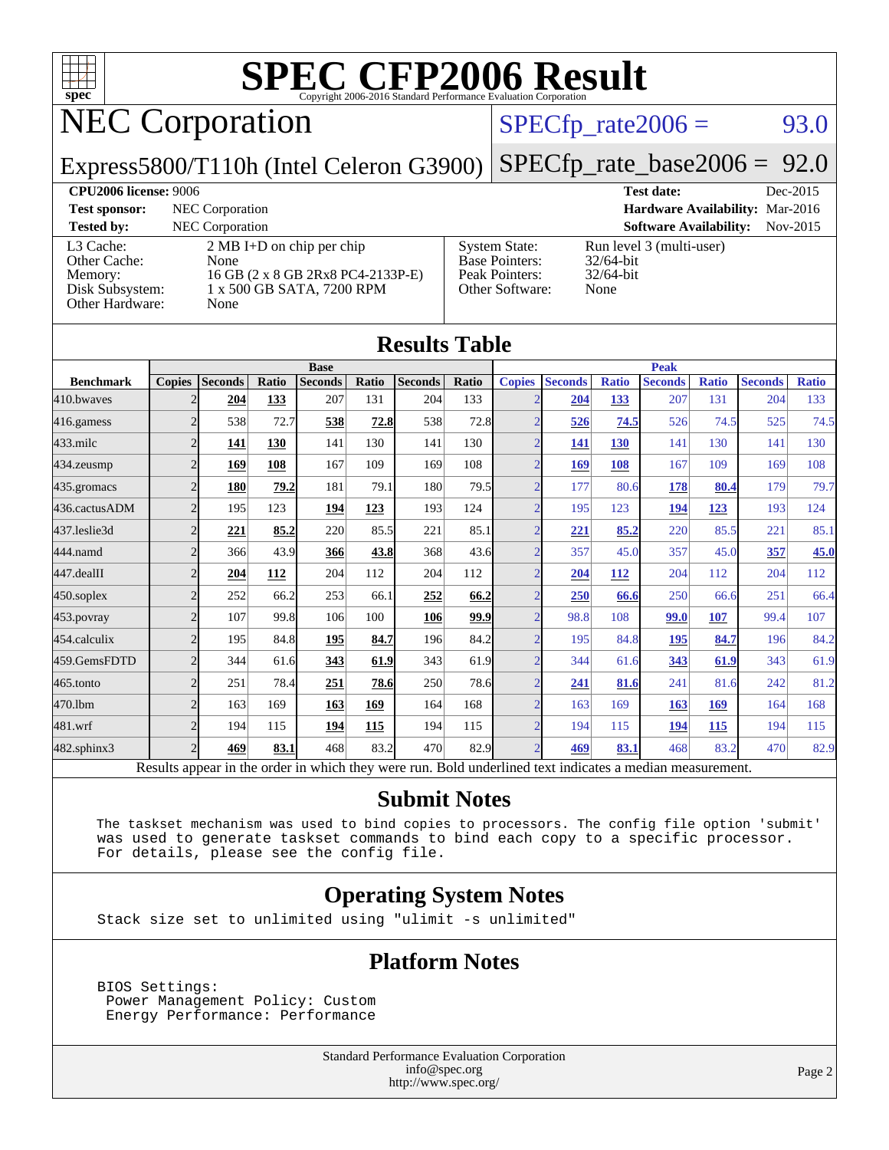

## NEC Corporation

#### $SPECTp\_rate2006 = 93.0$

Express5800/T110h (Intel Celeron G3900)

[SPECfp\\_rate\\_base2006 =](http://www.spec.org/auto/cpu2006/Docs/result-fields.html#SPECfpratebase2006) 92.0

#### **[CPU2006 license:](http://www.spec.org/auto/cpu2006/Docs/result-fields.html#CPU2006license)** 9006 **[Test date:](http://www.spec.org/auto/cpu2006/Docs/result-fields.html#Testdate)** Dec-2015

**[Test sponsor:](http://www.spec.org/auto/cpu2006/Docs/result-fields.html#Testsponsor)** NEC Corporation **[Hardware Availability:](http://www.spec.org/auto/cpu2006/Docs/result-fields.html#HardwareAvailability)** Mar-2016 [L3 Cache:](http://www.spec.org/auto/cpu2006/Docs/result-fields.html#L3Cache) [Other Cache:](http://www.spec.org/auto/cpu2006/Docs/result-fields.html#OtherCache) [Memory:](http://www.spec.org/auto/cpu2006/Docs/result-fields.html#Memory) Disk Subsystem Other Hardware

| <b>Tested by:</b> | NEC Corporation                     |                       | <b>Software Availability:</b> Nov-2015 |  |
|-------------------|-------------------------------------|-----------------------|----------------------------------------|--|
| L3 Cache:         | $2 \text{ MB I+D}$ on chip per chip | <b>System State:</b>  | Run level 3 (multi-user)               |  |
| Other Cache:      | None                                | <b>Base Pointers:</b> | $32/64$ -bit                           |  |
| Memory:           | 16 GB (2 x 8 GB 2Rx8 PC4-2133P-E)   | Peak Pointers:        | $32/64$ -bit                           |  |
| Disk Subsystem:   | 1 x 500 GB SATA, 7200 RPM           | Other Software:       | None                                   |  |
| Other Hardware:   | None                                |                       |                                        |  |

| <b>System State:</b>  |
|-----------------------|
| <b>Base Pointers:</b> |
| Peak Pointers:        |
| Other Software:       |
|                       |

| <b>Results Table</b> |                                                                                                          |                |       |                |       |                |       |                |                |              |                |              |                |              |
|----------------------|----------------------------------------------------------------------------------------------------------|----------------|-------|----------------|-------|----------------|-------|----------------|----------------|--------------|----------------|--------------|----------------|--------------|
|                      |                                                                                                          |                |       | <b>Base</b>    |       |                |       |                |                |              | <b>Peak</b>    |              |                |              |
| <b>Benchmark</b>     | <b>Copies</b>                                                                                            | <b>Seconds</b> | Ratio | <b>Seconds</b> | Ratio | <b>Seconds</b> | Ratio | <b>Copies</b>  | <b>Seconds</b> | <b>Ratio</b> | <b>Seconds</b> | <b>Ratio</b> | <b>Seconds</b> | <b>Ratio</b> |
| 410.bwayes           | 2                                                                                                        | 204            | 133   | 207            | 131   | 204            | 133   | $\mathcal{D}$  | 204            | 133          | 207            | 131          | 204            | 133          |
| 416.gamess           | $\overline{2}$                                                                                           | 538            | 72.7  | 538            | 72.8  | 538            | 72.8  | $\overline{2}$ | 526            | 74.5         | 526            | 74.5         | 525            | 74.5         |
| $433$ .milc          | $\overline{2}$                                                                                           | 141            | 130   | 141            | 130   | 141            | 130   | $\overline{2}$ | 141            | 130          | 141            | 130          | 141            | 130          |
| 434.zeusmp           | $\overline{2}$                                                                                           | 169            | 108   | 167            | 109   | 169            | 108   | $\overline{2}$ | 169            | 108          | 167            | 109          | 169            | 108          |
| 435.gromacs          | $\overline{2}$                                                                                           | <b>180</b>     | 79.2  | 181            | 79.1  | 180            | 79.5  | $\overline{2}$ | 177            | 80.6         | 178            | 80.4         | 179            | 79.7         |
| 436.cactusADM        | $\overline{2}$                                                                                           | 195            | 123   | 194            | 123   | 193            | 124   | $\overline{2}$ | 195            | 123          | <u>194</u>     | 123          | 193            | 124          |
| 437.leslie3d         | $\overline{2}$                                                                                           | 221            | 85.2  | 220            | 85.5  | 221            | 85.1  | $\overline{2}$ | 221            | 85.2         | 220            | 85.5         | 221            | 85.1         |
| 444.namd             | $\overline{2}$                                                                                           | 366            | 43.9  | 366            | 43.8  | 368            | 43.6  | $\overline{2}$ | 357            | 45.0         | 357            | 45.0         | 357            | 45.0         |
| 447.dealII           | $\overline{2}$                                                                                           | 204            | 112   | 204            | 112   | 204            | 112   | $\overline{2}$ | 204            | <b>112</b>   | 204            | 112          | 204            | 112          |
| $450$ .soplex        | $\overline{2}$                                                                                           | 252            | 66.2  | 253            | 66.1  | 252            | 66.2  | $\overline{2}$ | 250            | 66.6         | 250            | 66.6         | 251            | 66.4         |
| 453.povray           | $\overline{2}$                                                                                           | 107            | 99.8  | 106            | 100   | 106            | 99.9  | $\overline{2}$ | 98.8           | 108          | 99.0           | 107          | 99.4           | 107          |
| 454.calculix         | $\overline{2}$                                                                                           | 195            | 84.8  | <b>195</b>     | 84.7  | 196            | 84.2  | $\overline{2}$ | 195            | 84.8         | 195            | 84.7         | 196            | 84.2         |
| 459.GemsFDTD         | $\overline{2}$                                                                                           | 344            | 61.6  | 343            | 61.9  | 343            | 61.9  | $\overline{2}$ | 344            | 61.6         | 343            | 61.9         | 343            | 61.9         |
| 465.tonto            | $\overline{c}$                                                                                           | 251            | 78.4  | 251            | 78.6  | 250            | 78.6  | $\overline{2}$ | 241            | 81.6         | 241            | 81.6         | 242            | 81.2         |
| 470.1bm              | $\overline{2}$                                                                                           | 163            | 169   | 163            | 169   | 164            | 168   | $\overline{2}$ | 163            | 169          | <b>163</b>     | 169          | 164            | 168          |
| 481.wrf              | $\overline{c}$                                                                                           | 194            | 115   | 194            | 115   | 194            | 115   | $\overline{2}$ | 194            | 115          | 194            | 115          | 194            | 115          |
| 482.sphinx3          | $\overline{2}$                                                                                           | 469            | 83.1  | 468            | 83.2  | 470            | 82.9  | $\overline{2}$ | 469            | 83.1         | 468            | 83.2         | 470            | 82.9         |
|                      | Results appear in the order in which they were run. Bold underlined text indicates a median measurement. |                |       |                |       |                |       |                |                |              |                |              |                |              |

#### **[Submit Notes](http://www.spec.org/auto/cpu2006/Docs/result-fields.html#SubmitNotes)**

 The taskset mechanism was used to bind copies to processors. The config file option 'submit' was used to generate taskset commands to bind each copy to a specific processor. For details, please see the config file.

#### **[Operating System Notes](http://www.spec.org/auto/cpu2006/Docs/result-fields.html#OperatingSystemNotes)**

Stack size set to unlimited using "ulimit -s unlimited"

#### **[Platform Notes](http://www.spec.org/auto/cpu2006/Docs/result-fields.html#PlatformNotes)**

 BIOS Settings: Power Management Policy: Custom Energy Performance: Performance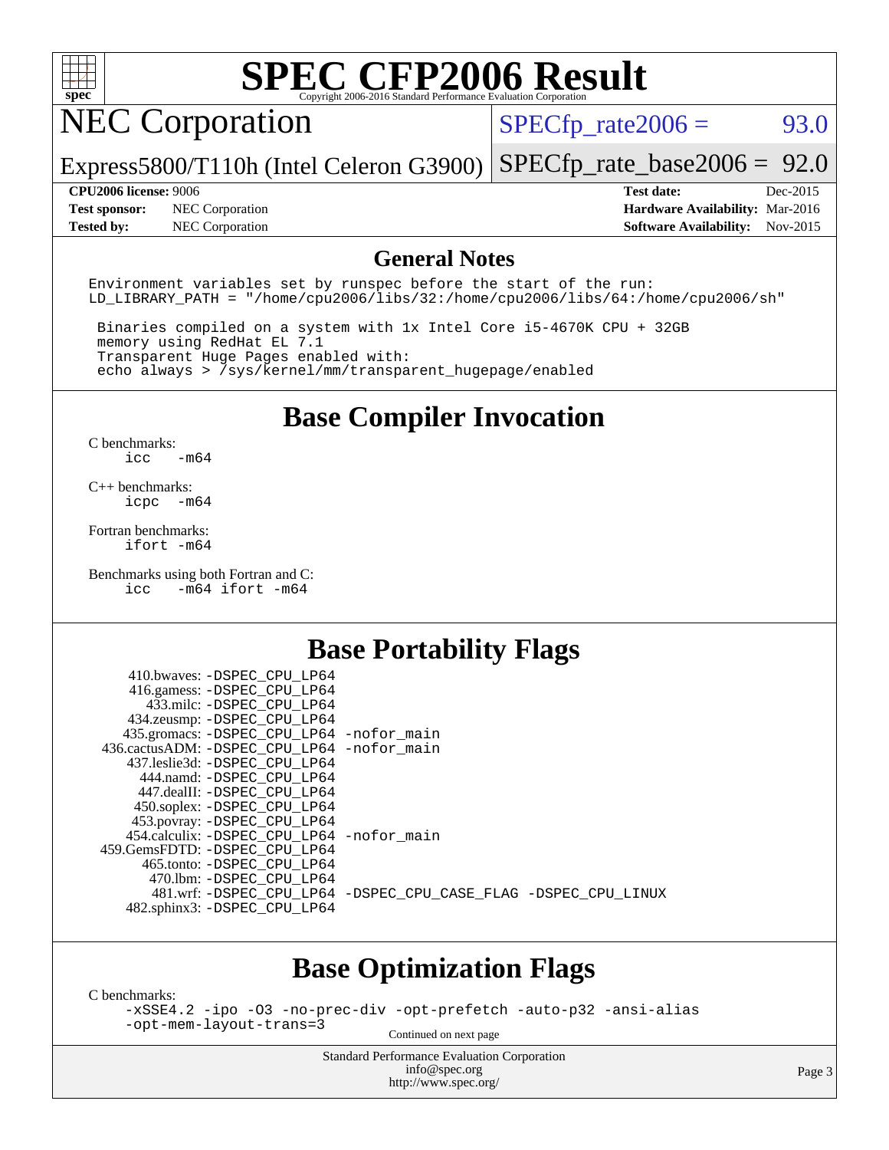

## NEC Corporation

 $SPECTp_rate2006 = 93.0$ 

Express5800/T110h (Intel Celeron G3900) [SPECfp\\_rate\\_base2006 =](http://www.spec.org/auto/cpu2006/Docs/result-fields.html#SPECfpratebase2006) 92.0

**[Test sponsor:](http://www.spec.org/auto/cpu2006/Docs/result-fields.html#Testsponsor)** NEC Corporation **[Hardware Availability:](http://www.spec.org/auto/cpu2006/Docs/result-fields.html#HardwareAvailability)** Mar-2016 **[Tested by:](http://www.spec.org/auto/cpu2006/Docs/result-fields.html#Testedby)** NEC Corporation **[Software Availability:](http://www.spec.org/auto/cpu2006/Docs/result-fields.html#SoftwareAvailability)** Nov-2015

**[CPU2006 license:](http://www.spec.org/auto/cpu2006/Docs/result-fields.html#CPU2006license)** 9006 **[Test date:](http://www.spec.org/auto/cpu2006/Docs/result-fields.html#Testdate)** Dec-2015

#### **[General Notes](http://www.spec.org/auto/cpu2006/Docs/result-fields.html#GeneralNotes)**

Environment variables set by runspec before the start of the run: LD LIBRARY PATH = "/home/cpu2006/libs/32:/home/cpu2006/libs/64:/home/cpu2006/sh"

 Binaries compiled on a system with 1x Intel Core i5-4670K CPU + 32GB memory using RedHat EL 7.1 Transparent Huge Pages enabled with: echo always > /sys/kernel/mm/transparent\_hugepage/enabled

#### **[Base Compiler Invocation](http://www.spec.org/auto/cpu2006/Docs/result-fields.html#BaseCompilerInvocation)**

[C benchmarks](http://www.spec.org/auto/cpu2006/Docs/result-fields.html#Cbenchmarks): [icc -m64](http://www.spec.org/cpu2006/results/res2016q1/cpu2006-20160125-38838.flags.html#user_CCbase_intel_icc_64bit_0b7121f5ab7cfabee23d88897260401c)

[C++ benchmarks:](http://www.spec.org/auto/cpu2006/Docs/result-fields.html#CXXbenchmarks) [icpc -m64](http://www.spec.org/cpu2006/results/res2016q1/cpu2006-20160125-38838.flags.html#user_CXXbase_intel_icpc_64bit_bedb90c1146cab66620883ef4f41a67e)

[Fortran benchmarks](http://www.spec.org/auto/cpu2006/Docs/result-fields.html#Fortranbenchmarks): [ifort -m64](http://www.spec.org/cpu2006/results/res2016q1/cpu2006-20160125-38838.flags.html#user_FCbase_intel_ifort_64bit_ee9d0fb25645d0210d97eb0527dcc06e)

[Benchmarks using both Fortran and C](http://www.spec.org/auto/cpu2006/Docs/result-fields.html#BenchmarksusingbothFortranandC): [icc -m64](http://www.spec.org/cpu2006/results/res2016q1/cpu2006-20160125-38838.flags.html#user_CC_FCbase_intel_icc_64bit_0b7121f5ab7cfabee23d88897260401c) [ifort -m64](http://www.spec.org/cpu2006/results/res2016q1/cpu2006-20160125-38838.flags.html#user_CC_FCbase_intel_ifort_64bit_ee9d0fb25645d0210d97eb0527dcc06e)

#### **[Base Portability Flags](http://www.spec.org/auto/cpu2006/Docs/result-fields.html#BasePortabilityFlags)**

| 410.bwaves: -DSPEC CPU LP64<br>416.gamess: -DSPEC_CPU_LP64 |                                                                |
|------------------------------------------------------------|----------------------------------------------------------------|
| 433.milc: -DSPEC CPU LP64                                  |                                                                |
| 434.zeusmp: -DSPEC_CPU_LP64                                |                                                                |
| 435.gromacs: -DSPEC_CPU_LP64 -nofor_main                   |                                                                |
| 436.cactusADM: -DSPEC CPU LP64 -nofor main                 |                                                                |
| 437.leslie3d: -DSPEC CPU LP64                              |                                                                |
| 444.namd: - DSPEC CPU LP64                                 |                                                                |
| 447.dealII: -DSPEC_CPU_LP64                                |                                                                |
| 450.soplex: -DSPEC_CPU_LP64                                |                                                                |
| 453.povray: -DSPEC_CPU_LP64                                |                                                                |
| 454.calculix: -DSPEC_CPU_LP64 -nofor_main                  |                                                                |
| 459.GemsFDTD: -DSPEC CPU LP64                              |                                                                |
| 465.tonto: - DSPEC CPU LP64                                |                                                                |
| 470.1bm: - DSPEC CPU LP64                                  |                                                                |
|                                                            | 481.wrf: -DSPEC_CPU_LP64 -DSPEC_CPU_CASE_FLAG -DSPEC_CPU_LINUX |
| 482.sphinx3: -DSPEC_CPU_LP64                               |                                                                |
|                                                            |                                                                |

#### **[Base Optimization Flags](http://www.spec.org/auto/cpu2006/Docs/result-fields.html#BaseOptimizationFlags)**

[C benchmarks](http://www.spec.org/auto/cpu2006/Docs/result-fields.html#Cbenchmarks):

[-xSSE4.2](http://www.spec.org/cpu2006/results/res2016q1/cpu2006-20160125-38838.flags.html#user_CCbase_f-xSSE42_f91528193cf0b216347adb8b939d4107) [-ipo](http://www.spec.org/cpu2006/results/res2016q1/cpu2006-20160125-38838.flags.html#user_CCbase_f-ipo) [-O3](http://www.spec.org/cpu2006/results/res2016q1/cpu2006-20160125-38838.flags.html#user_CCbase_f-O3) [-no-prec-div](http://www.spec.org/cpu2006/results/res2016q1/cpu2006-20160125-38838.flags.html#user_CCbase_f-no-prec-div) [-opt-prefetch](http://www.spec.org/cpu2006/results/res2016q1/cpu2006-20160125-38838.flags.html#user_CCbase_f-opt-prefetch) [-auto-p32](http://www.spec.org/cpu2006/results/res2016q1/cpu2006-20160125-38838.flags.html#user_CCbase_f-auto-p32) [-ansi-alias](http://www.spec.org/cpu2006/results/res2016q1/cpu2006-20160125-38838.flags.html#user_CCbase_f-ansi-alias) [-opt-mem-layout-trans=3](http://www.spec.org/cpu2006/results/res2016q1/cpu2006-20160125-38838.flags.html#user_CCbase_f-opt-mem-layout-trans_a7b82ad4bd7abf52556d4961a2ae94d5)

Continued on next page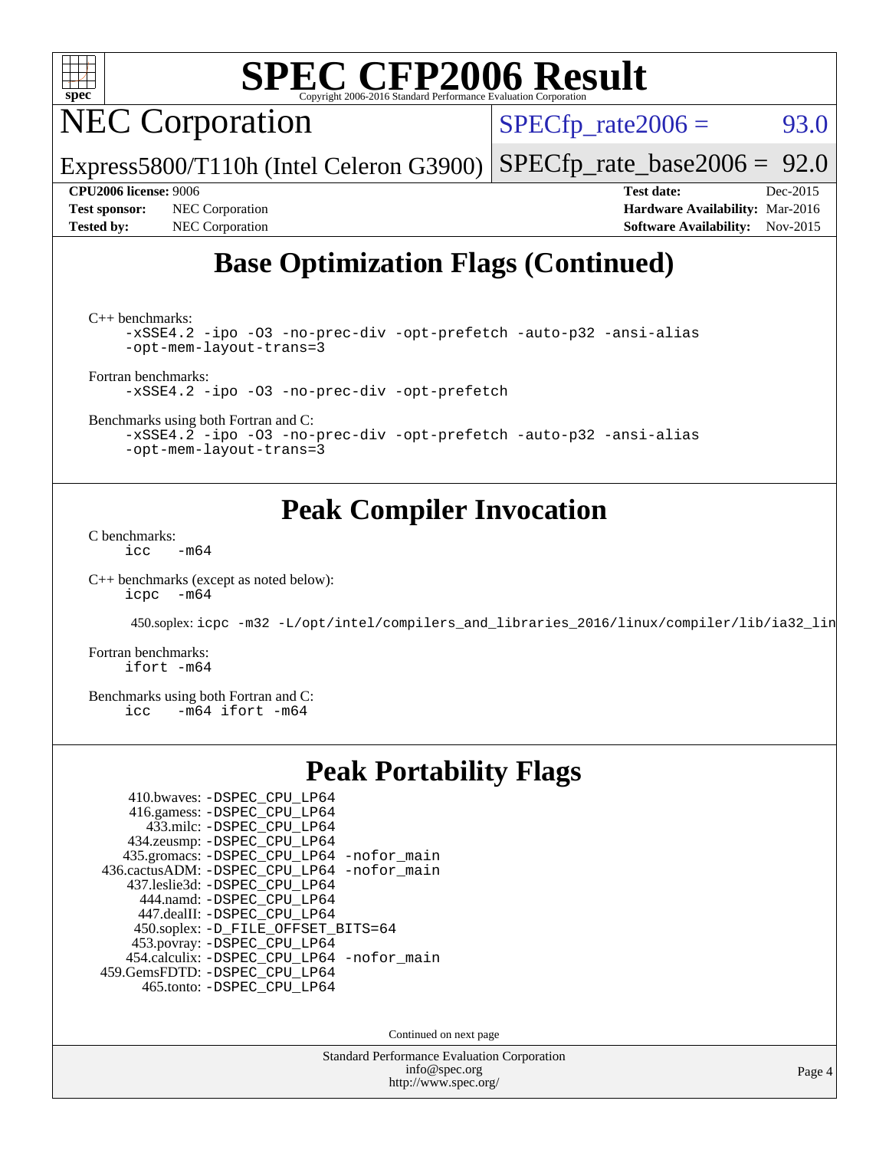

NEC Corporation

 $SPECTp\_rate2006 = 93.0$ 

Express5800/T110h (Intel Celeron G3900) [SPECfp\\_rate\\_base2006 =](http://www.spec.org/auto/cpu2006/Docs/result-fields.html#SPECfpratebase2006) 92.0

**[Test sponsor:](http://www.spec.org/auto/cpu2006/Docs/result-fields.html#Testsponsor)** NEC Corporation **[Hardware Availability:](http://www.spec.org/auto/cpu2006/Docs/result-fields.html#HardwareAvailability)** Mar-2016

**[CPU2006 license:](http://www.spec.org/auto/cpu2006/Docs/result-fields.html#CPU2006license)** 9006 **[Test date:](http://www.spec.org/auto/cpu2006/Docs/result-fields.html#Testdate)** Dec-2015 [Tested by:](http://www.spec.org/auto/cpu2006/Docs/result-fields.html#Testedby) NEC Corporation **[Software Availability:](http://www.spec.org/auto/cpu2006/Docs/result-fields.html#SoftwareAvailability)** Nov-2015

### **[Base Optimization Flags \(Continued\)](http://www.spec.org/auto/cpu2006/Docs/result-fields.html#BaseOptimizationFlags)**

[C++ benchmarks:](http://www.spec.org/auto/cpu2006/Docs/result-fields.html#CXXbenchmarks)

[-xSSE4.2](http://www.spec.org/cpu2006/results/res2016q1/cpu2006-20160125-38838.flags.html#user_CXXbase_f-xSSE42_f91528193cf0b216347adb8b939d4107) [-ipo](http://www.spec.org/cpu2006/results/res2016q1/cpu2006-20160125-38838.flags.html#user_CXXbase_f-ipo) [-O3](http://www.spec.org/cpu2006/results/res2016q1/cpu2006-20160125-38838.flags.html#user_CXXbase_f-O3) [-no-prec-div](http://www.spec.org/cpu2006/results/res2016q1/cpu2006-20160125-38838.flags.html#user_CXXbase_f-no-prec-div) [-opt-prefetch](http://www.spec.org/cpu2006/results/res2016q1/cpu2006-20160125-38838.flags.html#user_CXXbase_f-opt-prefetch) [-auto-p32](http://www.spec.org/cpu2006/results/res2016q1/cpu2006-20160125-38838.flags.html#user_CXXbase_f-auto-p32) [-ansi-alias](http://www.spec.org/cpu2006/results/res2016q1/cpu2006-20160125-38838.flags.html#user_CXXbase_f-ansi-alias) [-opt-mem-layout-trans=3](http://www.spec.org/cpu2006/results/res2016q1/cpu2006-20160125-38838.flags.html#user_CXXbase_f-opt-mem-layout-trans_a7b82ad4bd7abf52556d4961a2ae94d5)

[Fortran benchmarks](http://www.spec.org/auto/cpu2006/Docs/result-fields.html#Fortranbenchmarks):

[-xSSE4.2](http://www.spec.org/cpu2006/results/res2016q1/cpu2006-20160125-38838.flags.html#user_FCbase_f-xSSE42_f91528193cf0b216347adb8b939d4107) [-ipo](http://www.spec.org/cpu2006/results/res2016q1/cpu2006-20160125-38838.flags.html#user_FCbase_f-ipo) [-O3](http://www.spec.org/cpu2006/results/res2016q1/cpu2006-20160125-38838.flags.html#user_FCbase_f-O3) [-no-prec-div](http://www.spec.org/cpu2006/results/res2016q1/cpu2006-20160125-38838.flags.html#user_FCbase_f-no-prec-div) [-opt-prefetch](http://www.spec.org/cpu2006/results/res2016q1/cpu2006-20160125-38838.flags.html#user_FCbase_f-opt-prefetch)

[Benchmarks using both Fortran and C](http://www.spec.org/auto/cpu2006/Docs/result-fields.html#BenchmarksusingbothFortranandC):

[-xSSE4.2](http://www.spec.org/cpu2006/results/res2016q1/cpu2006-20160125-38838.flags.html#user_CC_FCbase_f-xSSE42_f91528193cf0b216347adb8b939d4107) [-ipo](http://www.spec.org/cpu2006/results/res2016q1/cpu2006-20160125-38838.flags.html#user_CC_FCbase_f-ipo) [-O3](http://www.spec.org/cpu2006/results/res2016q1/cpu2006-20160125-38838.flags.html#user_CC_FCbase_f-O3) [-no-prec-div](http://www.spec.org/cpu2006/results/res2016q1/cpu2006-20160125-38838.flags.html#user_CC_FCbase_f-no-prec-div) [-opt-prefetch](http://www.spec.org/cpu2006/results/res2016q1/cpu2006-20160125-38838.flags.html#user_CC_FCbase_f-opt-prefetch) [-auto-p32](http://www.spec.org/cpu2006/results/res2016q1/cpu2006-20160125-38838.flags.html#user_CC_FCbase_f-auto-p32) [-ansi-alias](http://www.spec.org/cpu2006/results/res2016q1/cpu2006-20160125-38838.flags.html#user_CC_FCbase_f-ansi-alias) [-opt-mem-layout-trans=3](http://www.spec.org/cpu2006/results/res2016q1/cpu2006-20160125-38838.flags.html#user_CC_FCbase_f-opt-mem-layout-trans_a7b82ad4bd7abf52556d4961a2ae94d5)

#### **[Peak Compiler Invocation](http://www.spec.org/auto/cpu2006/Docs/result-fields.html#PeakCompilerInvocation)**

[C benchmarks](http://www.spec.org/auto/cpu2006/Docs/result-fields.html#Cbenchmarks):  $\text{icc}$  -m64

[C++ benchmarks \(except as noted below\):](http://www.spec.org/auto/cpu2006/Docs/result-fields.html#CXXbenchmarksexceptasnotedbelow) [icpc -m64](http://www.spec.org/cpu2006/results/res2016q1/cpu2006-20160125-38838.flags.html#user_CXXpeak_intel_icpc_64bit_bedb90c1146cab66620883ef4f41a67e)

450.soplex: [icpc -m32 -L/opt/intel/compilers\\_and\\_libraries\\_2016/linux/compiler/lib/ia32\\_lin](http://www.spec.org/cpu2006/results/res2016q1/cpu2006-20160125-38838.flags.html#user_peakCXXLD450_soplex_intel_icpc_b4f50a394bdb4597aa5879c16bc3f5c5)

[Fortran benchmarks](http://www.spec.org/auto/cpu2006/Docs/result-fields.html#Fortranbenchmarks): [ifort -m64](http://www.spec.org/cpu2006/results/res2016q1/cpu2006-20160125-38838.flags.html#user_FCpeak_intel_ifort_64bit_ee9d0fb25645d0210d97eb0527dcc06e)

[Benchmarks using both Fortran and C](http://www.spec.org/auto/cpu2006/Docs/result-fields.html#BenchmarksusingbothFortranandC): [icc -m64](http://www.spec.org/cpu2006/results/res2016q1/cpu2006-20160125-38838.flags.html#user_CC_FCpeak_intel_icc_64bit_0b7121f5ab7cfabee23d88897260401c) [ifort -m64](http://www.spec.org/cpu2006/results/res2016q1/cpu2006-20160125-38838.flags.html#user_CC_FCpeak_intel_ifort_64bit_ee9d0fb25645d0210d97eb0527dcc06e)

#### **[Peak Portability Flags](http://www.spec.org/auto/cpu2006/Docs/result-fields.html#PeakPortabilityFlags)**

| 410.bwaves: -DSPEC_CPU_LP64                |
|--------------------------------------------|
| 416.gamess: -DSPEC_CPU_LP64                |
| 433.milc: -DSPEC CPU LP64                  |
| 434.zeusmp: -DSPEC_CPU_LP64                |
| 435.gromacs: -DSPEC_CPU_LP64 -nofor_main   |
| 436.cactusADM: -DSPEC_CPU_LP64 -nofor_main |
| 437.leslie3d: -DSPEC CPU LP64              |
| 444.namd: - DSPEC_CPU LP64                 |
| 447.dealII: -DSPEC_CPU_LP64                |
| 450.soplex: -D_FILE_OFFSET_BITS=64         |
| 453.povray: - DSPEC_CPU_LP64               |
| 454.calculix: -DSPEC_CPU_LP64 -nofor_main  |
| 459. GemsFDTD: - DSPEC CPU LP64            |
| 465.tonto: -DSPEC_CPU_LP64                 |

Continued on next page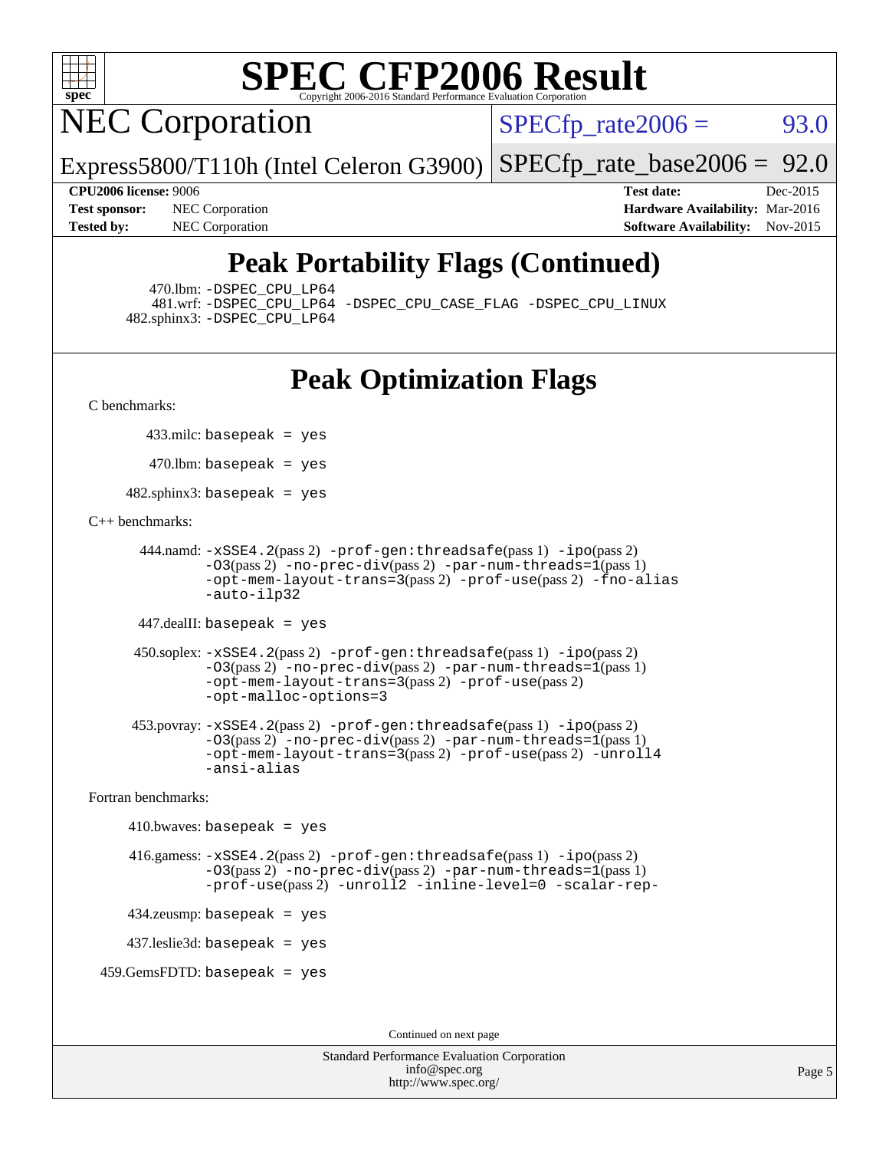

**NEC Corporation** 

 $SPECTp_rate2006 = 93.0$ 

Express5800/T110h (Intel Celeron G3900) [SPECfp\\_rate\\_base2006 =](http://www.spec.org/auto/cpu2006/Docs/result-fields.html#SPECfpratebase2006) 92.0

**[Test sponsor:](http://www.spec.org/auto/cpu2006/Docs/result-fields.html#Testsponsor)** NEC Corporation **NEC Corporation [Hardware Availability:](http://www.spec.org/auto/cpu2006/Docs/result-fields.html#HardwareAvailability)** Mar-2016

**[CPU2006 license:](http://www.spec.org/auto/cpu2006/Docs/result-fields.html#CPU2006license)** 9006 **[Test date:](http://www.spec.org/auto/cpu2006/Docs/result-fields.html#Testdate)** Dec-2015 **[Tested by:](http://www.spec.org/auto/cpu2006/Docs/result-fields.html#Testedby)** NEC Corporation **[Software Availability:](http://www.spec.org/auto/cpu2006/Docs/result-fields.html#SoftwareAvailability)** Nov-2015

### **[Peak Portability Flags \(Continued\)](http://www.spec.org/auto/cpu2006/Docs/result-fields.html#PeakPortabilityFlags)**

470.lbm: [-DSPEC\\_CPU\\_LP64](http://www.spec.org/cpu2006/results/res2016q1/cpu2006-20160125-38838.flags.html#suite_peakPORTABILITY470_lbm_DSPEC_CPU_LP64)

 481.wrf: [-DSPEC\\_CPU\\_LP64](http://www.spec.org/cpu2006/results/res2016q1/cpu2006-20160125-38838.flags.html#suite_peakPORTABILITY481_wrf_DSPEC_CPU_LP64) [-DSPEC\\_CPU\\_CASE\\_FLAG](http://www.spec.org/cpu2006/results/res2016q1/cpu2006-20160125-38838.flags.html#b481.wrf_peakCPORTABILITY_DSPEC_CPU_CASE_FLAG) [-DSPEC\\_CPU\\_LINUX](http://www.spec.org/cpu2006/results/res2016q1/cpu2006-20160125-38838.flags.html#b481.wrf_peakCPORTABILITY_DSPEC_CPU_LINUX) 482.sphinx3: [-DSPEC\\_CPU\\_LP64](http://www.spec.org/cpu2006/results/res2016q1/cpu2006-20160125-38838.flags.html#suite_peakPORTABILITY482_sphinx3_DSPEC_CPU_LP64)

### **[Peak Optimization Flags](http://www.spec.org/auto/cpu2006/Docs/result-fields.html#PeakOptimizationFlags)**

[C benchmarks](http://www.spec.org/auto/cpu2006/Docs/result-fields.html#Cbenchmarks):

433.milc: basepeak = yes

 $470$ .lbm: basepeak = yes

482.sphinx3: basepeak = yes

#### [C++ benchmarks:](http://www.spec.org/auto/cpu2006/Docs/result-fields.html#CXXbenchmarks)

```
 444.namd: -xSSE4.2(pass 2) -prof-gen:threadsafe(pass 1) -ipo(pass 2)
       -03(pass 2)-no-prec-div-par-num-threads=1(pass 1)
       -opt-mem-layout-trans=3(pass 2) -prof-use(pass 2) -fno-alias
       -auto-ilp32
```
447.dealII: basepeak = yes

```
 450.soplex: -xSSE4.2(pass 2) -prof-gen:threadsafe(pass 1) -ipo(pass 2)
        -O3(pass 2) -no-prec-div(pass 2) -par-num-threads=1(pass 1)
        -opt-mem-layout-trans=3(pass 2) -prof-use(pass 2)
        -opt-malloc-options=3
```

```
 453.povray: -xSSE4.2(pass 2) -prof-gen:threadsafe(pass 1) -ipo(pass 2)
        -03(pass 2)-no-prec-div-par-num-threads=1(pass 1)
        -opt-mem-layout-trans=3(pass 2) -prof-use(pass 2) -unroll4
        -ansi-alias
```
[Fortran benchmarks](http://www.spec.org/auto/cpu2006/Docs/result-fields.html#Fortranbenchmarks):

```
410.bwaves: basepeak = yes 416.gamess: -xSSE4.2(pass 2) -prof-gen:threadsafe(pass 1) -ipo(pass 2)
            -03(pass 2)-no-prec-div-par-num-threads=1(pass 1)
            -prof-use(pass 2) -unroll2 -inline-level=0 -scalar-rep-
   434.zeusmp: basepeak = yes
   437.leslie3d: basepeak = yes
459.GemsFDTD: basepeak = yes
```
Continued on next page